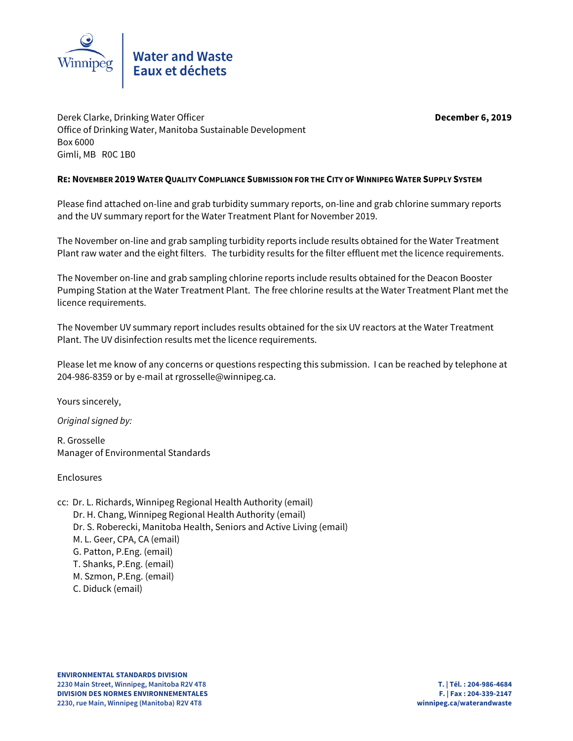

Derek Clarke, Drinking Water Officer **December 6, 2019** Office of Drinking Water, Manitoba Sustainable Development Box 6000 Gimli, MB R0C 1B0

## **RE: NOVEMBER 2019 WATER QUALITY COMPLIANCE SUBMISSION FOR THE CITY OF WINNIPEG WATER SUPPLY SYSTEM**

Please find attached on-line and grab turbidity summary reports, on-line and grab chlorine summary reports and the UV summary report for the Water Treatment Plant for November 2019.

The November on-line and grab sampling turbidity reports include results obtained for the Water Treatment Plant raw water and the eight filters. The turbidity results for the filter effluent met the licence requirements.

The November on-line and grab sampling chlorine reports include results obtained for the Deacon Booster Pumping Station at the Water Treatment Plant. The free chlorine results at the Water Treatment Plant met the licence requirements.

The November UV summary report includes results obtained for the six UV reactors at the Water Treatment Plant. The UV disinfection results met the licence requirements.

Please let me know of any concerns or questions respecting this submission. I can be reached by telephone at 204-986-8359 or by e-mail at rgrosselle@winnipeg.ca.

Yours sincerely,

Original signed by:

R. Grosselle Manager of Environmental Standards

Enclosures

cc: Dr. L. Richards, Winnipeg Regional Health Authority (email) Dr. H. Chang, Winnipeg Regional Health Authority (email) Dr. S. Roberecki, Manitoba Health, Seniors and Active Living (email) M. L. Geer, CPA, CA (email) G. Patton, P.Eng. (email) T. Shanks, P.Eng. (email) M. Szmon, P.Eng. (email) C. Diduck (email)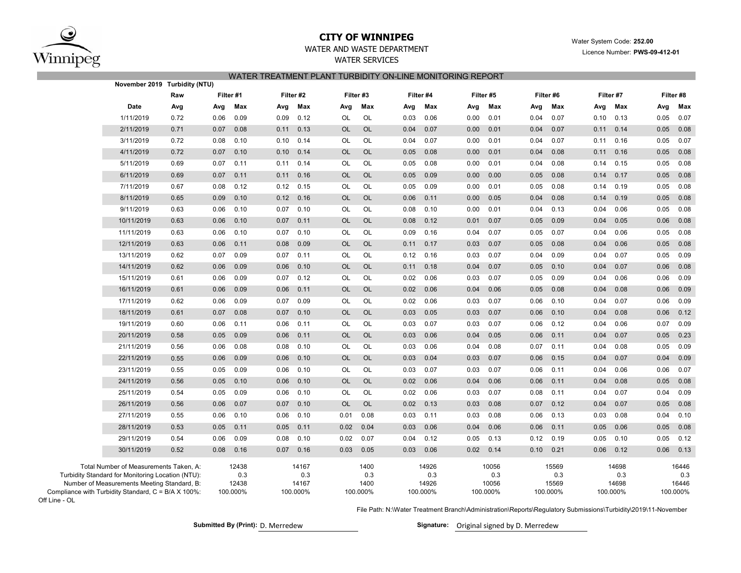

Off Line - OL

## **CITY OF WINNIPEG**

Water System Code: **252.00**

Licence Number: **PWS-09-412-01**

# WATER AND WASTE DEPARTMENT

WATER SERVICESWATER TREATMENT PLANT TURBIDITY ON-LINE MONITORING REPORT

|                                                                       | November 2019 Turbidity (NTU)                                                                                                              |      |           |                       |           |                       |           |                     |      |                       |      |                       |      |                       |      |                       |      |                       |  |
|-----------------------------------------------------------------------|--------------------------------------------------------------------------------------------------------------------------------------------|------|-----------|-----------------------|-----------|-----------------------|-----------|---------------------|------|-----------------------|------|-----------------------|------|-----------------------|------|-----------------------|------|-----------------------|--|
|                                                                       |                                                                                                                                            | Raw  | Filter #1 |                       | Filter #2 |                       |           | Filter #3           |      | Filter #4             |      | Filter #5             |      | Filter #6             |      | Filter #7             |      | Filter #8             |  |
|                                                                       | Date                                                                                                                                       | Avg  | Avg       | Max                   | Avg       | Max                   | Avg       | Max                 | Avg  | Max                   | Avg  | Max                   | Avg  | Max                   | Avg  | Max                   | Avg  | Max                   |  |
|                                                                       | 1/11/2019                                                                                                                                  | 0.72 | 0.06      | 0.09                  | 0.09      | 0.12                  | OL        | OL                  | 0.03 | 0.06                  | 0.00 | 0.01                  | 0.04 | 0.07                  | 0.10 | 0.13                  | 0.05 | 0.07                  |  |
|                                                                       | 2/11/2019                                                                                                                                  | 0.71 | 0.07      | 0.08                  | 0.11      | 0.13                  | OL        | <b>OL</b>           | 0.04 | 0.07                  | 0.00 | 0.01                  | 0.04 | 0.07                  | 0.11 | 0.14                  | 0.05 | 0.08                  |  |
|                                                                       | 3/11/2019                                                                                                                                  | 0.72 | 0.08      | 0.10                  | 0.10      | 0.14                  | OL        | OL                  | 0.04 | 0.07                  | 0.00 | 0.01                  | 0.04 | 0.07                  | 0.11 | 0.16                  | 0.05 | 0.07                  |  |
|                                                                       | 4/11/2019                                                                                                                                  | 0.72 | 0.07      | 0.10                  | 0.10      | 0.14                  | <b>OL</b> | <b>OL</b>           | 0.05 | 0.08                  | 0.00 | 0.01                  | 0.04 | 0.08                  | 0.11 | 0.16                  | 0.05 | 0.08                  |  |
|                                                                       | 5/11/2019                                                                                                                                  | 0.69 | 0.07      | 0.11                  | 0.11      | 0.14                  | <b>OL</b> | OL                  | 0.05 | 0.08                  | 0.00 | 0.01                  | 0.04 | 0.08                  | 0.14 | 0.15                  | 0.05 | 0.08                  |  |
|                                                                       | 6/11/2019                                                                                                                                  | 0.69 | 0.07      | 0.11                  | 0.11      | 0.16                  | OL        | <b>OL</b>           | 0.05 | 0.09                  | 0.00 | 0.00                  | 0.05 | 0.08                  | 0.14 | 0.17                  | 0.05 | 0.08                  |  |
|                                                                       | 7/11/2019                                                                                                                                  | 0.67 | 0.08      | 0.12                  | 0.12      | 0.15                  | OL        | OL                  | 0.05 | 0.09                  | 0.00 | 0.01                  | 0.05 | 0.08                  | 0.14 | 0.19                  | 0.05 | 0.08                  |  |
|                                                                       | 8/11/2019                                                                                                                                  | 0.65 | 0.09      | 0.10                  | 0.12      | 0.16                  | <b>OL</b> | <b>OL</b>           | 0.06 | 0.11                  | 0.00 | 0.05                  | 0.04 | 0.08                  | 0.14 | 0.19                  | 0.05 | 0.08                  |  |
|                                                                       | 9/11/2019                                                                                                                                  | 0.63 | 0.06      | 0.10                  | 0.07      | 0.10                  | OL        | $OL$                | 0.08 | 0.10                  | 0.00 | 0.01                  | 0.04 | 0.13                  | 0.04 | 0.06                  | 0.05 | 0.08                  |  |
|                                                                       | 10/11/2019                                                                                                                                 | 0.63 | 0.06      | 0.10                  | 0.07      | 0.11                  | OL        | <b>OL</b>           | 0.08 | 0.12                  | 0.01 | 0.07                  | 0.05 | 0.09                  | 0.04 | 0.05                  | 0.06 | 0.08                  |  |
|                                                                       | 11/11/2019                                                                                                                                 | 0.63 | 0.06      | 0.10                  | 0.07      | 0.10                  | OL        | OL                  | 0.09 | 0.16                  | 0.04 | 0.07                  | 0.05 | 0.07                  | 0.04 | 0.06                  | 0.05 | 0.08                  |  |
|                                                                       | 12/11/2019                                                                                                                                 | 0.63 | 0.06      | 0.11                  | 0.08      | 0.09                  | OL        | <b>OL</b>           | 0.11 | 0.17                  | 0.03 | 0.07                  | 0.05 | 0.08                  | 0.04 | 0.06                  | 0.05 | 0.08                  |  |
|                                                                       | 13/11/2019                                                                                                                                 | 0.62 | 0.07      | 0.09                  | 0.07      | 0.11                  | OL        | OL                  | 0.12 | 0.16                  | 0.03 | 0.07                  | 0.04 | 0.09                  | 0.04 | 0.07                  | 0.05 | 0.09                  |  |
|                                                                       | 14/11/2019                                                                                                                                 | 0.62 | 0.06      | 0.09                  | 0.06      | 0.10                  | OL        | <b>OL</b>           | 0.11 | 0.18                  | 0.04 | 0.07                  | 0.05 | 0.10                  | 0.04 | 0.07                  | 0.06 | 0.08                  |  |
|                                                                       | 15/11/2019                                                                                                                                 | 0.61 | 0.06      | 0.09                  | 0.07      | 0.12                  | OL        | <b>OL</b>           | 0.02 | 0.06                  | 0.03 | 0.07                  | 0.05 | 0.09                  | 0.04 | 0.06                  | 0.06 | 0.09                  |  |
|                                                                       | 16/11/2019                                                                                                                                 | 0.61 | 0.06      | 0.09                  | 0.06      | 0.11                  | OL        | OL                  | 0.02 | 0.06                  | 0.04 | 0.06                  | 0.05 | 0.08                  | 0.04 | 0.08                  | 0.06 | 0.09                  |  |
|                                                                       | 17/11/2019                                                                                                                                 | 0.62 | 0.06      | 0.09                  | 0.07      | 0.09                  | OL        | OL                  | 0.02 | 0.06                  | 0.03 | 0.07                  | 0.06 | 0.10                  | 0.04 | 0.07                  | 0.06 | 0.09                  |  |
|                                                                       | 18/11/2019                                                                                                                                 | 0.61 | 0.07      | 0.08                  | 0.07      | 0.10                  | OL        | <b>OL</b>           | 0.03 | 0.05                  | 0.03 | 0.07                  | 0.06 | 0.10                  | 0.04 | 0.08                  | 0.06 | 0.12                  |  |
|                                                                       | 19/11/2019                                                                                                                                 | 0.60 | 0.06      | 0.11                  | 0.06      | 0.11                  | OL        | OL                  | 0.03 | 0.07                  | 0.03 | 0.07                  | 0.06 | 0.12                  | 0.04 | 0.06                  | 0.07 | 0.09                  |  |
|                                                                       | 20/11/2019                                                                                                                                 | 0.58 | 0.05      | 0.09                  | 0.06      | 0.11                  | OL        | <b>OL</b>           | 0.03 | 0.06                  | 0.04 | 0.05                  | 0.06 | 0.11                  | 0.04 | 0.07                  | 0.05 | 0.23                  |  |
|                                                                       | 21/11/2019                                                                                                                                 | 0.56 | 0.06      | 0.08                  | 0.08      | 0.10                  | OL        | OL                  | 0.03 | 0.06                  | 0.04 | 0.08                  | 0.07 | 0.11                  | 0.04 | 0.08                  | 0.05 | 0.09                  |  |
|                                                                       | 22/11/2019                                                                                                                                 | 0.55 | 0.06      | 0.09                  | 0.06      | 0.10                  | OL        | <b>OL</b>           | 0.03 | 0.04                  | 0.03 | 0.07                  | 0.06 | 0.15                  | 0.04 | 0.07                  | 0.04 | 0.09                  |  |
|                                                                       | 23/11/2019                                                                                                                                 | 0.55 | 0.05      | 0.09                  | 0.06      | 0.10                  | OL        | OL                  | 0.03 | 0.07                  | 0.03 | 0.07                  | 0.06 | 0.11                  | 0.04 | 0.06                  | 0.06 | 0.07                  |  |
|                                                                       | 24/11/2019                                                                                                                                 | 0.56 | 0.05      | 0.10                  | 0.06      | 0.10                  | OL        | <b>OL</b>           | 0.02 | 0.06                  | 0.04 | 0.06                  | 0.06 | 0.11                  | 0.04 | 0.08                  | 0.05 | 0.08                  |  |
|                                                                       | 25/11/2019                                                                                                                                 | 0.54 | 0.05      | 0.09                  | 0.06      | 0.10                  | OL        | OL                  | 0.02 | 0.06                  | 0.03 | 0.07                  | 0.08 | 0.11                  | 0.04 | 0.07                  | 0.04 | 0.09                  |  |
|                                                                       | 26/11/2019                                                                                                                                 | 0.56 | 0.06      | 0.07                  | 0.07      | 0.10                  | OL        | <b>OL</b>           | 0.02 | 0.13                  | 0.03 | 0.08                  | 0.07 | 0.12                  | 0.04 | 0.07                  | 0.05 | 0.08                  |  |
|                                                                       | 27/11/2019                                                                                                                                 | 0.55 | 0.06      | 0.10                  | 0.06      | 0.10                  | 0.01      | 0.08                | 0.03 | 0.11                  | 0.03 | 0.08                  | 0.06 | 0.13                  | 0.03 | 0.08                  | 0.04 | 0.10                  |  |
|                                                                       | 28/11/2019                                                                                                                                 | 0.53 | 0.05      | 0.11                  | 0.05      | 0.11                  | 0.02      | 0.04                | 0.03 | 0.06                  | 0.04 | 0.06                  | 0.06 | 0.11                  | 0.05 | 0.06                  | 0.05 | 0.08                  |  |
|                                                                       | 29/11/2019                                                                                                                                 | 0.54 | 0.06      | 0.09                  | 0.08      | 0.10                  | 0.02      | 0.07                | 0.04 | 0.12                  | 0.05 | 0.13                  | 0.12 | 0.19                  | 0.05 | 0.10                  | 0.05 | 0.12                  |  |
|                                                                       | 30/11/2019                                                                                                                                 | 0.52 | 0.08      | 0.16                  | 0.07      | 0.16                  | 0.03      | 0.05                | 0.03 | 0.06                  | 0.02 | 0.14                  | 0.10 | 0.21                  | 0.06 | 0.12                  | 0.06 | 0.13                  |  |
|                                                                       | Total Number of Measurements Taken, A:<br>Turbidity Standard for Monitoring Location (NTU):<br>Number of Measurements Meeting Standard, B: |      |           | 12438<br>0.3<br>12438 |           | 14167<br>0.3<br>14167 |           | 1400<br>0.3<br>1400 |      | 14926<br>0.3<br>14926 |      | 10056<br>0.3<br>10056 |      | 15569<br>0.3<br>15569 |      | 14698<br>0.3<br>14698 |      | 16446<br>0.3<br>16446 |  |
| Compliance with Turbidity Standard, C = B/A X 100%:<br>$line  \Omega$ |                                                                                                                                            |      |           | 100.000%              |           | 100.000%              |           | 100.000%            |      | 100.000%              |      | 100.000%              |      | 100.000%              |      | 100.000%              |      | 100.000%              |  |

File Path: N:\Water Treatment Branch\Administration\Reports\Regulatory Submissions\Turbidity\2019\11-November

Submitted By (Print): D. Merredew **Signature:** Original signed by D. Merredew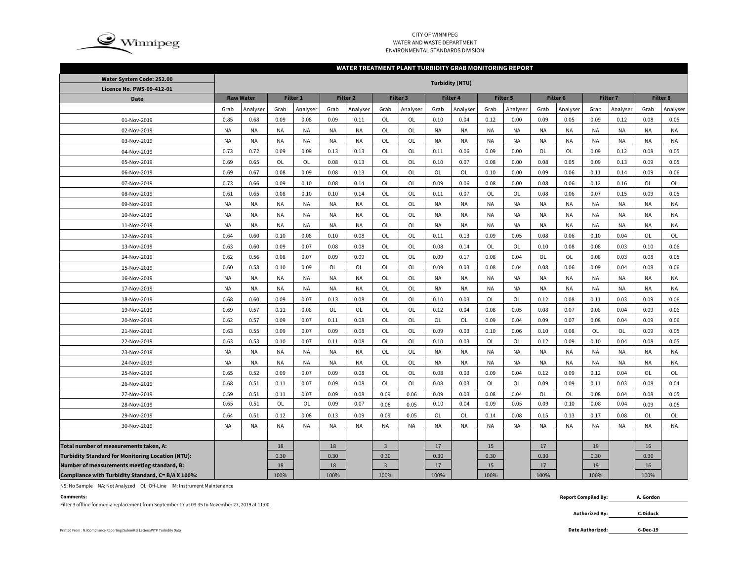

### CITY OF WINNIPEG WATER AND WASTE DEPARTMENTENVIRONMENTAL STANDARDS DIVISION

#### **WATER TREATMENT PLANT TURBIDITY GRAB MONITORING REPORT**

| Water System Code: 252.00                                | <b>Turbidity (NTU)</b> |           |                 |           |                     |           |                |                 |           |                                    |           |           |           |                 |           |           |                 |           |
|----------------------------------------------------------|------------------------|-----------|-----------------|-----------|---------------------|-----------|----------------|-----------------|-----------|------------------------------------|-----------|-----------|-----------|-----------------|-----------|-----------|-----------------|-----------|
| Licence No. PWS-09-412-01                                |                        |           |                 |           |                     |           |                |                 |           |                                    |           |           |           |                 |           |           |                 |           |
| <b>Date</b>                                              | <b>Raw Water</b>       |           | <b>Filter 1</b> |           | Filter <sub>2</sub> |           |                | <b>Filter 3</b> |           | <b>Filter 4</b><br><b>Filter 5</b> |           | Filter 6  |           | <b>Filter 7</b> |           |           | <b>Filter 8</b> |           |
|                                                          | Grab                   | Analyser  | Grab            | Analyser  | Grab                | Analyser  | Grab           | Analyser        | Grab      | Analyser                           | Grab      | Analyser  | Grab      | Analyser        | Grab      | Analyser  | Grab            | Analyser  |
| 01-Nov-2019                                              | 0.85                   | 0.68      | 0.09            | 0.08      | 0.09                | 0.11      | OL             | OL              | 0.10      | 0.04                               | 0.12      | 0.00      | 0.09      | 0.05            | 0.09      | 0.12      | 0.08            | 0.05      |
| 02-Nov-2019                                              | <b>NA</b>              | <b>NA</b> | <b>NA</b>       | <b>NA</b> | <b>NA</b>           | <b>NA</b> | OL             | OL              | <b>NA</b> | <b>NA</b>                          | <b>NA</b> | NA        | NA        | <b>NA</b>       | <b>NA</b> | <b>NA</b> | <b>NA</b>       | <b>NA</b> |
| 03-Nov-2019                                              | <b>NA</b>              | <b>NA</b> | NA              | NA        | <b>NA</b>           | <b>NA</b> | <b>OL</b>      | OL              | <b>NA</b> | <b>NA</b>                          | <b>NA</b> | NA        | NA        | <b>NA</b>       | <b>NA</b> | <b>NA</b> | <b>NA</b>       | <b>NA</b> |
| 04-Nov-2019                                              | 0.73                   | 0.72      | 0.09            | 0.09      | 0.13                | 0.13      | OL             | OL              | 0.11      | 0.06                               | 0.09      | 0.00      | <b>OL</b> | OL              | 0.09      | 0.12      | 0.08            | 0.05      |
| 05-Nov-2019                                              | 0.69                   | 0.65      | OL              | <b>OL</b> | 0.08                | 0.13      | OL             | OL              | 0.10      | 0.07                               | 0.08      | 0.00      | 0.08      | 0.05            | 0.09      | 0.13      | 0.09            | 0.05      |
| 06-Nov-2019                                              | 0.69                   | 0.67      | 0.08            | 0.09      | 0.08                | 0.13      | OL             | OL              | OL        | OL                                 | 0.10      | 0.00      | 0.09      | 0.06            | 0.11      | 0.14      | 0.09            | 0.06      |
| 07-Nov-2019                                              | 0.73                   | 0.66      | 0.09            | 0.10      | 0.08                | 0.14      | OL             | OL              | 0.09      | 0.06                               | 0.08      | 0.00      | 0.08      | 0.06            | 0.12      | 0.16      | OL              | OL        |
| 08-Nov-2019                                              | 0.61                   | 0.65      | 0.08            | 0.10      | 0.10                | 0.14      | OL             | OL              | 0.11      | 0.07                               | <b>OL</b> | OL        | 0.08      | 0.06            | 0.07      | 0.15      | 0.09            | 0.05      |
| 09-Nov-2019                                              | <b>NA</b>              | <b>NA</b> | <b>NA</b>       | <b>NA</b> | <b>NA</b>           | <b>NA</b> | OL             | OL              | <b>NA</b> | NA                                 | <b>NA</b> | <b>NA</b> | <b>NA</b> | <b>NA</b>       | <b>NA</b> | <b>NA</b> | <b>NA</b>       | <b>NA</b> |
| 10-Nov-2019                                              | <b>NA</b>              | <b>NA</b> | NA              | <b>NA</b> | <b>NA</b>           | <b>NA</b> | OL             | OL              | <b>NA</b> | NA                                 | <b>NA</b> | NA        | <b>NA</b> | <b>NA</b>       | <b>NA</b> | <b>NA</b> | <b>NA</b>       | <b>NA</b> |
| 11-Nov-2019                                              | <b>NA</b>              | <b>NA</b> | NA              | <b>NA</b> | <b>NA</b>           | <b>NA</b> | OL             | OL              | <b>NA</b> | NA                                 | <b>NA</b> | NA        | <b>NA</b> | <b>NA</b>       | <b>NA</b> | <b>NA</b> | <b>NA</b>       | <b>NA</b> |
| 12-Nov-2019                                              | 0.64                   | 0.60      | 0.10            | 0.08      | 0.10                | 0.08      | OL             | OL              | 0.11      | 0.13                               | 0.09      | 0.05      | 0.08      | 0.06            | 0.10      | 0.04      | OL              | OL        |
| 13-Nov-2019                                              | 0.63                   | 0.60      | 0.09            | 0.07      | 0.08                | 0.08      | OL             | OL              | 0.08      | 0.14                               | OL        | <b>OL</b> | 0.10      | 0.08            | 0.08      | 0.03      | 0.10            | 0.06      |
| 14-Nov-2019                                              | 0.62                   | 0.56      | 0.08            | 0.07      | 0.09                | 0.09      | OL             | OL              | 0.09      | 0.17                               | 0.08      | 0.04      | OL        | OL              | 0.08      | 0.03      | 0.08            | 0.05      |
| 15-Nov-2019                                              | 0.60                   | 0.58      | 0.10            | 0.09      | OL                  | OL        | OL             | OL              | 0.09      | 0.03                               | 0.08      | 0.04      | 0.08      | 0.06            | 0.09      | 0.04      | 0.08            | 0.06      |
| 16-Nov-2019                                              | <b>NA</b>              | <b>NA</b> | <b>NA</b>       | NA        | <b>NA</b>           | <b>NA</b> | OL             | OL              | <b>NA</b> | <b>NA</b>                          | <b>NA</b> | NA        | ΝA        | <b>NA</b>       | <b>NA</b> | <b>NA</b> | <b>NA</b>       | <b>NA</b> |
| 17-Nov-2019                                              | <b>NA</b>              | <b>NA</b> | <b>NA</b>       | <b>NA</b> | <b>NA</b>           | <b>NA</b> | <b>OL</b>      | OL              | <b>NA</b> | <b>NA</b>                          | <b>NA</b> | <b>NA</b> | ΝA        | <b>NA</b>       | <b>NA</b> | <b>NA</b> | <b>NA</b>       | <b>NA</b> |
| 18-Nov-2019                                              | 0.68                   | 0.60      | 0.09            | 0.07      | 0.13                | 0.08      | OL             | OL              | 0.10      | 0.03                               | <b>OL</b> | <b>OL</b> | 0.12      | 0.08            | 0.11      | 0.03      | 0.09            | 0.06      |
| 19-Nov-2019                                              | 0.69                   | 0.57      | 0.11            | 0.08      | OL                  | OL        | OL             | OL              | 0.12      | 0.04                               | 0.08      | 0.05      | 0.08      | 0.07            | 0.08      | 0.04      | 0.09            | 0.06      |
| 20-Nov-2019                                              | 0.62                   | 0.57      | 0.09            | 0.07      | 0.11                | 0.08      | OL             | OL              | OL        | OL                                 | 0.09      | 0.04      | 0.09      | 0.07            | 0.08      | 0.04      | 0.09            | 0.06      |
| 21-Nov-2019                                              | 0.63                   | 0.55      | 0.09            | 0.07      | 0.09                | 0.08      | OL             | OL              | 0.09      | 0.03                               | 0.10      | 0.06      | 0.10      | 0.08            | OL        | OL        | 0.09            | 0.05      |
| 22-Nov-2019                                              | 0.63                   | 0.53      | 0.10            | 0.07      | 0.11                | 0.08      | OL             | OL              | 0.10      | 0.03                               | <b>OL</b> | OL        | 0.12      | 0.09            | 0.10      | 0.04      | 0.08            | 0.05      |
| 23-Nov-2019                                              | <b>NA</b>              | <b>NA</b> | NA              | <b>NA</b> | <b>NA</b>           | <b>NA</b> | OL             | OL              | <b>NA</b> | <b>NA</b>                          | <b>NA</b> | NA        | <b>NA</b> | <b>NA</b>       | <b>NA</b> | <b>NA</b> | <b>NA</b>       | <b>NA</b> |
| 24-Nov-2019                                              | <b>NA</b>              | <b>NA</b> | <b>NA</b>       | <b>NA</b> | <b>NA</b>           | <b>NA</b> | OL             | OL              | <b>NA</b> | <b>NA</b>                          | <b>NA</b> | NA        | <b>NA</b> | <b>NA</b>       | <b>NA</b> | <b>NA</b> | <b>NA</b>       | <b>NA</b> |
| 25-Nov-2019                                              | 0.65                   | 0.52      | 0.09            | 0.07      | 0.09                | 0.08      | OL             | OL              | 0.08      | 0.03                               | 0.09      | 0.04      | 0.12      | 0.09            | 0.12      | 0.04      | OL              | OL        |
| 26-Nov-2019                                              | 0.68                   | 0.51      | 0.11            | 0.07      | 0.09                | 0.08      | OL             | OL              | 0.08      | 0.03                               | OL        | OL        | 0.09      | 0.09            | 0.11      | 0.03      | 0.08            | 0.04      |
| 27-Nov-2019                                              | 0.59                   | 0.51      | 0.11            | 0.07      | 0.09                | 0.08      | 0.09           | 0.06            | 0.09      | 0.03                               | 0.08      | 0.04      | OL        | OL              | 0.08      | 0.04      | 0.08            | 0.05      |
| 28-Nov-2019                                              | 0.65                   | 0.51      | OL              | OL        | 0.09                | 0.07      | 0.08           | 0.05            | 0.10      | 0.04                               | 0.09      | 0.05      | 0.09      | 0.10            | 0.08      | 0.04      | 0.09            | 0.05      |
| 29-Nov-2019                                              | 0.64                   | 0.51      | 0.12            | 0.08      | 0.13                | 0.09      | 0.09           | 0.05            | OL        | OL                                 | 0.14      | 0.08      | 0.15      | 0.13            | 0.17      | 0.08      | OL              | OL        |
| 30-Nov-2019                                              | <b>NA</b>              | NA        | NA              | <b>NA</b> | <b>NA</b>           | <b>NA</b> | <b>NA</b>      | <b>NA</b>       | <b>NA</b> | <b>NA</b>                          | <b>NA</b> | NA        | <b>NA</b> | <b>NA</b>       | <b>NA</b> | <b>NA</b> | <b>NA</b>       | <b>NA</b> |
|                                                          |                        |           |                 |           |                     |           |                |                 |           |                                    |           |           |           |                 |           |           |                 |           |
| Total number of measurements taken, A:                   |                        |           | 18              |           | 18                  |           | $\overline{3}$ |                 | 17        |                                    | 15        |           | 17        |                 | 19        |           | 16              |           |
| <b>Turbidity Standard for Monitoring Location (NTU):</b> |                        |           | 0.30            |           | 0.30                |           | 0.30           |                 | 0.30      |                                    | 0.30      |           | 0.30      |                 | 0.30      |           | 0.30            |           |
| Number of measurements meeting standard, B:              |                        |           | 18              |           | 18                  |           | $\overline{3}$ |                 | 17        |                                    | 15        |           | 17        |                 | 19        |           | 16              |           |
| Compliance with Turbidity Standard, C= B/A X 100%:       |                        |           | 100%            |           | 100%                |           | 100%           |                 | 100%      |                                    | 100%      |           | 100%      |                 | 100%      |           | 100%            |           |

NS: No Sample NA: Not Analyzed OL: Off-Line IM: Instrument Maintenance

Filter 3 offline for media replacement from September 17 at 03:35 to November 27, 2019 at 11:00.

**Comments: Report Compiled By: A. Gordon**

> **Authorized By: C.Diduck**

Printed From : N:\Compliance Reporting\Submittal Letters\WTP Turbidity Data **Date Authorized:** 

**6-Dec-19**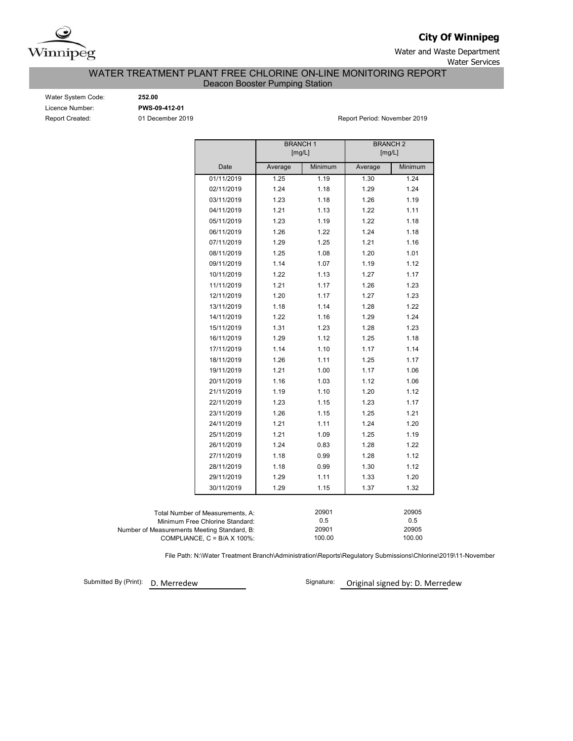

**City Of Winnipeg**

Water and Waste Department Water Services

WATER TREATMENT PLANT FREE CHLORINE ON-LINE MONITORING REPORT

Deacon Booster Pumping Station

Water System Code: **252.00** Licence Number: **PWS-09-412-01**

Report Created: 01 December 2019 **Report Period: November 2019** Report Period: November 2019

|                                             | <b>BRANCH1</b> |                 | <b>BRANCH 2</b> |                 |  |  |
|---------------------------------------------|----------------|-----------------|-----------------|-----------------|--|--|
|                                             | [mg/L]         |                 | [mg/L]          |                 |  |  |
| Date                                        | Average        | Minimum         | Average         | Minimum         |  |  |
| 01/11/2019                                  | 1.25           | 1.19            | 1.30            | 1.24            |  |  |
| 02/11/2019                                  | 1.24           | 1.18            | 1.29            | 1.24            |  |  |
| 03/11/2019                                  | 1.23           | 1.18            | 1.26            | 1.19            |  |  |
| 04/11/2019                                  | 1.21           | 1.13            | 1.22            | 1.11            |  |  |
| 05/11/2019                                  | 1.23           | 1.19            | 1.22            | 1.18            |  |  |
| 06/11/2019                                  | 1.26           | 1.22            | 1.24            | 1.18            |  |  |
| 07/11/2019                                  | 1.29           | 1.25            | 1.21            | 1.16            |  |  |
| 08/11/2019                                  | 1.25           | 1.08            | 1.20            | 1.01            |  |  |
| 09/11/2019                                  | 1.14           | 1.07            | 1.19            | 1.12            |  |  |
| 10/11/2019                                  | 1.22           | 1.13            | 1.27            | 1.17            |  |  |
| 11/11/2019                                  | 1.21           | 1.17            | 1.26            | 1.23            |  |  |
| 12/11/2019                                  | 1.20           | 1.17            | 1.27            | 1.23            |  |  |
| 13/11/2019                                  | 1.18           | 1.14            | 1.28            | 1.22            |  |  |
| 14/11/2019                                  | 1.22           | 1.16            | 1.29            | 1.24            |  |  |
| 15/11/2019                                  | 1.31           | 1.23            | 1.28            | 1.23            |  |  |
| 16/11/2019                                  | 1.29           | 1.12            | 1.25            | 1.18            |  |  |
| 17/11/2019                                  | 1.14           | 1.10            | 1.17            | 1.14            |  |  |
| 18/11/2019                                  | 1.26           | 1.11            | 1.25            | 1.17            |  |  |
| 19/11/2019                                  | 1.21           | 1.00            | 1.17            | 1.06            |  |  |
| 20/11/2019                                  | 1.16           | 1.03            | 1.12            | 1.06            |  |  |
| 21/11/2019                                  | 1.19           | 1.10            | 1.20            | 1.12            |  |  |
| 22/11/2019                                  | 1.23           | 1.15            | 1.23            | 1.17            |  |  |
| 23/11/2019                                  | 1.26           | 1.15            | 1.25            | 1.21            |  |  |
| 24/11/2019                                  | 1.21           | 1.11            | 1.24            | 1.20            |  |  |
| 25/11/2019                                  | 1.21           | 1.09            | 1.25            | 1.19            |  |  |
| 26/11/2019                                  | 1.24           | 0.83            | 1.28            | 1.22            |  |  |
| 27/11/2019                                  | 1.18           | 0.99            | 1.28            | 1.12            |  |  |
| 28/11/2019                                  | 1.18           | 0.99            | 1.30            | 1.12            |  |  |
| 29/11/2019                                  | 1.29           | 1.11            | 1.33            | 1.20            |  |  |
| 30/11/2019                                  | 1.29           | 1.15            | 1.37            | 1.32            |  |  |
|                                             |                |                 |                 |                 |  |  |
| Total Number of Measurements, A:            |                | 20901           |                 | 20905           |  |  |
| Minimum Free Chlorine Standard:             |                | 0.5             |                 | 0.5             |  |  |
| Number of Measurements Meeting Standard, B: |                | 20901<br>100.00 |                 | 20905<br>100.00 |  |  |
| COMPLIANCE, $C = B/A \times 100\%$ :        |                |                 |                 |                 |  |  |

File Path: N:\Water Treatment Branch\Administration\Reports\Regulatory Submissions\Chlorine\2019\11-November

Submitted By (Print): D. Merredew

Signature: Original signed by: D. Merredew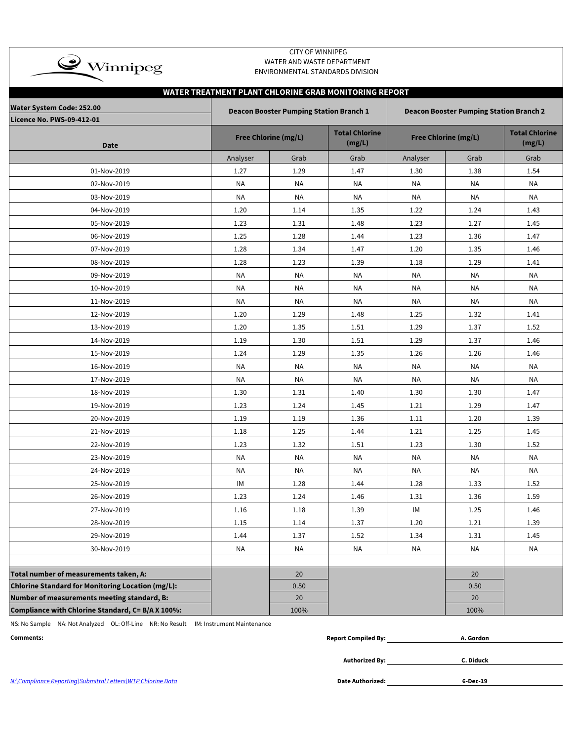| <b>CITY OF WINNIPEG</b><br>$\rightarrow$ Winnipeg<br>WATER AND WASTE DEPARTMENT<br>ENVIRONMENTAL STANDARDS DIVISION                  |                                                       |                             |                                 |           |                             |                                 |  |  |  |  |  |
|--------------------------------------------------------------------------------------------------------------------------------------|-------------------------------------------------------|-----------------------------|---------------------------------|-----------|-----------------------------|---------------------------------|--|--|--|--|--|
|                                                                                                                                      | WATER TREATMENT PLANT CHLORINE GRAB MONITORING REPORT |                             |                                 |           |                             |                                 |  |  |  |  |  |
| <b>Water System Code: 252.00</b><br><b>Deacon Booster Pumping Station Branch 1</b><br><b>Deacon Booster Pumping Station Branch 2</b> |                                                       |                             |                                 |           |                             |                                 |  |  |  |  |  |
| Licence No. PWS-09-412-01                                                                                                            |                                                       |                             |                                 |           |                             |                                 |  |  |  |  |  |
| <b>Date</b>                                                                                                                          |                                                       | <b>Free Chlorine (mg/L)</b> | <b>Total Chlorine</b><br>(mg/L) |           | <b>Free Chlorine (mg/L)</b> | <b>Total Chlorine</b><br>(mg/L) |  |  |  |  |  |
|                                                                                                                                      | Analyser                                              | Grab                        | Grab                            | Analyser  | Grab                        | Grab                            |  |  |  |  |  |
| 01-Nov-2019                                                                                                                          | 1.27                                                  | 1.29                        | 1.47                            | 1.30      | 1.38                        | 1.54                            |  |  |  |  |  |
| 02-Nov-2019                                                                                                                          | <b>NA</b>                                             | ΝA                          | <b>NA</b>                       | <b>NA</b> | <b>NA</b>                   | <b>NA</b>                       |  |  |  |  |  |
| 03-Nov-2019                                                                                                                          | <b>NA</b>                                             | <b>NA</b>                   | <b>NA</b>                       | <b>NA</b> | <b>NA</b>                   | ΝA                              |  |  |  |  |  |
| 04-Nov-2019                                                                                                                          | 1.20                                                  | 1.14                        | 1.35                            | 1.22      | 1.24                        | 1.43                            |  |  |  |  |  |
| 05-Nov-2019                                                                                                                          | 1.23                                                  | 1.31                        | 1.48                            | 1.23      | 1.27                        | 1.45                            |  |  |  |  |  |
| 06-Nov-2019                                                                                                                          | 1.25                                                  | 1.28                        | 1.44                            | 1.23      | 1.36                        | 1.47                            |  |  |  |  |  |
| 07-Nov-2019                                                                                                                          | 1.28                                                  | 1.34                        | 1.47                            | 1.20      | 1.35                        | 1.46                            |  |  |  |  |  |
| 08-Nov-2019                                                                                                                          | 1.28                                                  | 1.23                        | 1.39                            | 1.18      | 1.29                        | 1.41                            |  |  |  |  |  |
| 09-Nov-2019                                                                                                                          | <b>NA</b>                                             | <b>NA</b>                   | <b>NA</b>                       | <b>NA</b> | <b>NA</b>                   | <b>NA</b>                       |  |  |  |  |  |
| 10-Nov-2019                                                                                                                          | <b>NA</b>                                             | <b>NA</b>                   | <b>NA</b>                       | NA        | NA                          | NA                              |  |  |  |  |  |
| 11-Nov-2019                                                                                                                          | NA                                                    | ΝA                          | NA                              | NA        | ΝA                          | ΝA                              |  |  |  |  |  |
| 12-Nov-2019                                                                                                                          | 1.20                                                  | 1.29                        | 1.48                            | 1.25      | 1.32                        | 1.41                            |  |  |  |  |  |
| 13-Nov-2019                                                                                                                          | 1.20                                                  | 1.35                        | 1.51                            | 1.29      | 1.37                        | 1.52                            |  |  |  |  |  |
| 14-Nov-2019                                                                                                                          | 1.19                                                  | 1.30                        | 1.51                            | 1.29      | 1.37                        | 1.46                            |  |  |  |  |  |
| 15-Nov-2019                                                                                                                          | 1.24                                                  | 1.29                        | 1.35                            | 1.26      | 1.26                        | 1.46                            |  |  |  |  |  |
| 16-Nov-2019                                                                                                                          | <b>NA</b>                                             | <b>NA</b>                   | <b>NA</b>                       | <b>NA</b> | NA                          | NA                              |  |  |  |  |  |
| 17-Nov-2019                                                                                                                          | NA                                                    | NA                          | NA                              | ΝA        | NA                          | NA                              |  |  |  |  |  |
| 18-Nov-2019                                                                                                                          | 1.30                                                  | 1.31                        | 1.40                            | 1.30      | 1.30                        | 1.47                            |  |  |  |  |  |
| 19-Nov-2019                                                                                                                          | 1.23                                                  | 1.24                        | 1.45                            | 1.21      | 1.29                        | 1.47                            |  |  |  |  |  |
| 20-Nov-2019                                                                                                                          | 1.19                                                  | 1.19                        | 1.36                            | 1.11      | 1.20                        | 1.39                            |  |  |  |  |  |
| 21-Nov-2019                                                                                                                          | 1.18                                                  | 1.25                        | 1.44                            | 1.21      | 1.25                        | 1.45                            |  |  |  |  |  |
| 22-Nov-2019                                                                                                                          | 1.23                                                  | 1.32                        | 1.51                            | 1.23      | 1.30                        | 1.52                            |  |  |  |  |  |
| 23-Nov-2019                                                                                                                          | NA                                                    | ΝA                          | <b>NA</b>                       | NA        | NA                          | NA                              |  |  |  |  |  |
| 24-Nov-2019                                                                                                                          | NA                                                    | <b>NA</b>                   | NA                              | NA        | ΝA                          | NA                              |  |  |  |  |  |
| 25-Nov-2019                                                                                                                          | IM                                                    | 1.28                        | 1.44                            | 1.28      | 1.33                        | 1.52                            |  |  |  |  |  |
| 26-Nov-2019                                                                                                                          | 1.23                                                  | 1.24                        | 1.46                            | 1.31      | 1.36                        | 1.59                            |  |  |  |  |  |
| 27-Nov-2019                                                                                                                          | 1.16                                                  | 1.18                        | 1.39                            | IM        | 1.25                        | 1.46                            |  |  |  |  |  |
| 28-Nov-2019                                                                                                                          | 1.15                                                  | 1.14                        | 1.37                            | 1.20      | 1.21                        | 1.39                            |  |  |  |  |  |
| 29-Nov-2019                                                                                                                          | 1.44                                                  | 1.37                        | 1.52                            | 1.34      | 1.31                        | 1.45                            |  |  |  |  |  |
| 30-Nov-2019                                                                                                                          | NA                                                    | NA                          | <b>NA</b>                       | NA        | <b>NA</b>                   | NA                              |  |  |  |  |  |
|                                                                                                                                      |                                                       |                             |                                 |           |                             |                                 |  |  |  |  |  |
| Total number of measurements taken, A:                                                                                               |                                                       | 20                          |                                 |           | 20                          |                                 |  |  |  |  |  |
| Chlorine Standard for Monitoring Location (mg/L):                                                                                    |                                                       | 0.50                        |                                 |           | 0.50                        |                                 |  |  |  |  |  |
| Number of measurements meeting standard, B:                                                                                          |                                                       | 20                          |                                 |           | 20                          |                                 |  |  |  |  |  |
| Compliance with Chlorine Standard, C= B/A X 100%:                                                                                    |                                                       | 100%                        |                                 |           | 100%                        |                                 |  |  |  |  |  |

NS: No Sample NA: Not Analyzed OL: Off-Line NR: No Result IM: Instrument Maintenance

| Comments: | $\bullet\bullet$<br>Compiled Bv:<br>Renori | . Gordon |
|-----------|--------------------------------------------|----------|
|           |                                            |          |

**Authorized By:**

**C. Diduck**

N:\Compliance Reporting\Submittal Letters\WTP Chlorine Data

Date Authorized: **6-Dec-19**